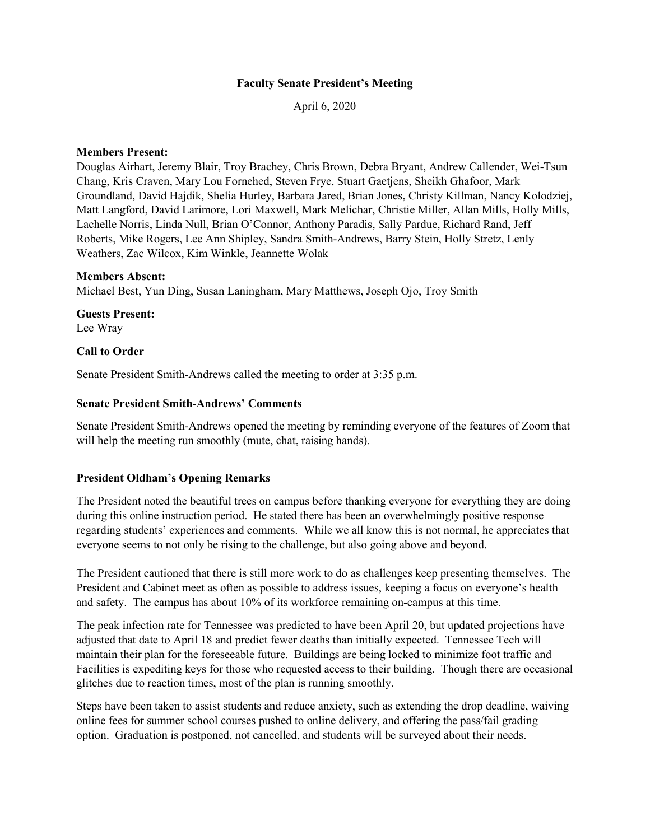### **Faculty Senate President's Meeting**

April 6, 2020

### **Members Present:**

Douglas Airhart, Jeremy Blair, Troy Brachey, Chris Brown, Debra Bryant, Andrew Callender, Wei-Tsun Chang, Kris Craven, Mary Lou Fornehed, Steven Frye, Stuart Gaetjens, Sheikh Ghafoor, Mark Groundland, David Hajdik, Shelia Hurley, Barbara Jared, Brian Jones, Christy Killman, Nancy Kolodziej, Matt Langford, David Larimore, Lori Maxwell, Mark Melichar, Christie Miller, Allan Mills, Holly Mills, Lachelle Norris, Linda Null, Brian O'Connor, Anthony Paradis, Sally Pardue, Richard Rand, Jeff Roberts, Mike Rogers, Lee Ann Shipley, Sandra Smith-Andrews, Barry Stein, Holly Stretz, Lenly Weathers, Zac Wilcox, Kim Winkle, Jeannette Wolak

## **Members Absent:**

Michael Best, Yun Ding, Susan Laningham, Mary Matthews, Joseph Ojo, Troy Smith

**Guests Present:** Lee Wray

## **Call to Order**

Senate President Smith-Andrews called the meeting to order at 3:35 p.m.

## **Senate President Smith-Andrews' Comments**

Senate President Smith-Andrews opened the meeting by reminding everyone of the features of Zoom that will help the meeting run smoothly (mute, chat, raising hands).

# **President Oldham's Opening Remarks**

The President noted the beautiful trees on campus before thanking everyone for everything they are doing during this online instruction period. He stated there has been an overwhelmingly positive response regarding students' experiences and comments. While we all know this is not normal, he appreciates that everyone seems to not only be rising to the challenge, but also going above and beyond.

The President cautioned that there is still more work to do as challenges keep presenting themselves. The President and Cabinet meet as often as possible to address issues, keeping a focus on everyone's health and safety. The campus has about 10% of its workforce remaining on-campus at this time.

The peak infection rate for Tennessee was predicted to have been April 20, but updated projections have adjusted that date to April 18 and predict fewer deaths than initially expected. Tennessee Tech will maintain their plan for the foreseeable future. Buildings are being locked to minimize foot traffic and Facilities is expediting keys for those who requested access to their building. Though there are occasional glitches due to reaction times, most of the plan is running smoothly.

Steps have been taken to assist students and reduce anxiety, such as extending the drop deadline, waiving online fees for summer school courses pushed to online delivery, and offering the pass/fail grading option. Graduation is postponed, not cancelled, and students will be surveyed about their needs.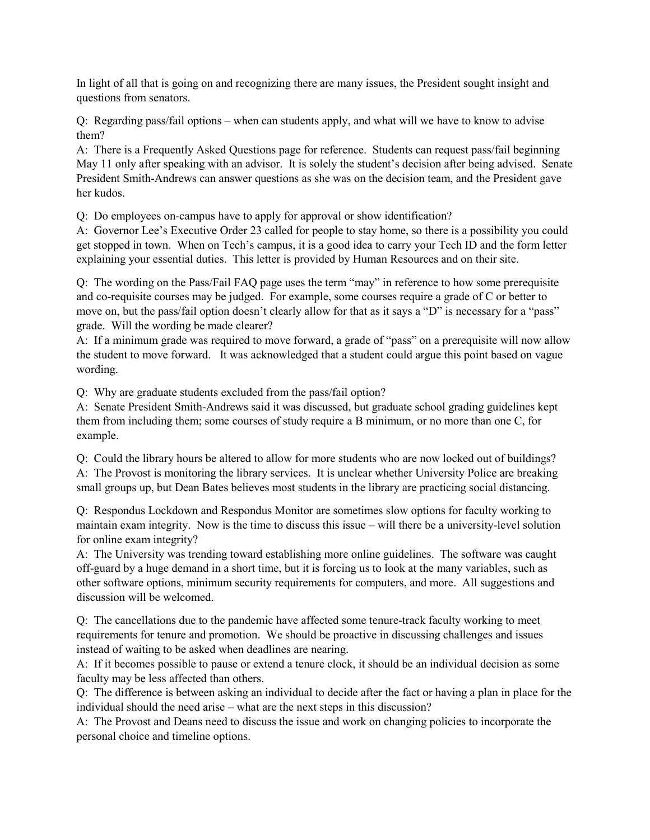In light of all that is going on and recognizing there are many issues, the President sought insight and questions from senators.

Q: Regarding pass/fail options – when can students apply, and what will we have to know to advise them?

A: There is a Frequently Asked Questions page for reference. Students can request pass/fail beginning May 11 only after speaking with an advisor. It is solely the student's decision after being advised. Senate President Smith-Andrews can answer questions as she was on the decision team, and the President gave her kudos.

Q: Do employees on-campus have to apply for approval or show identification?

A: Governor Lee's Executive Order 23 called for people to stay home, so there is a possibility you could get stopped in town. When on Tech's campus, it is a good idea to carry your Tech ID and the form letter explaining your essential duties. This letter is provided by Human Resources and on their site.

Q: The wording on the Pass/Fail FAQ page uses the term "may" in reference to how some prerequisite and co-requisite courses may be judged. For example, some courses require a grade of C or better to move on, but the pass/fail option doesn't clearly allow for that as it says a "D" is necessary for a "pass" grade. Will the wording be made clearer?

A: If a minimum grade was required to move forward, a grade of "pass" on a prerequisite will now allow the student to move forward. It was acknowledged that a student could argue this point based on vague wording.

Q: Why are graduate students excluded from the pass/fail option?

A: Senate President Smith-Andrews said it was discussed, but graduate school grading guidelines kept them from including them; some courses of study require a B minimum, or no more than one C, for example.

Q: Could the library hours be altered to allow for more students who are now locked out of buildings? A: The Provost is monitoring the library services. It is unclear whether University Police are breaking small groups up, but Dean Bates believes most students in the library are practicing social distancing.

Q: Respondus Lockdown and Respondus Monitor are sometimes slow options for faculty working to maintain exam integrity. Now is the time to discuss this issue – will there be a university-level solution for online exam integrity?

A: The University was trending toward establishing more online guidelines. The software was caught off-guard by a huge demand in a short time, but it is forcing us to look at the many variables, such as other software options, minimum security requirements for computers, and more. All suggestions and discussion will be welcomed.

Q: The cancellations due to the pandemic have affected some tenure-track faculty working to meet requirements for tenure and promotion. We should be proactive in discussing challenges and issues instead of waiting to be asked when deadlines are nearing.

A: If it becomes possible to pause or extend a tenure clock, it should be an individual decision as some faculty may be less affected than others.

Q: The difference is between asking an individual to decide after the fact or having a plan in place for the individual should the need arise – what are the next steps in this discussion?

A: The Provost and Deans need to discuss the issue and work on changing policies to incorporate the personal choice and timeline options.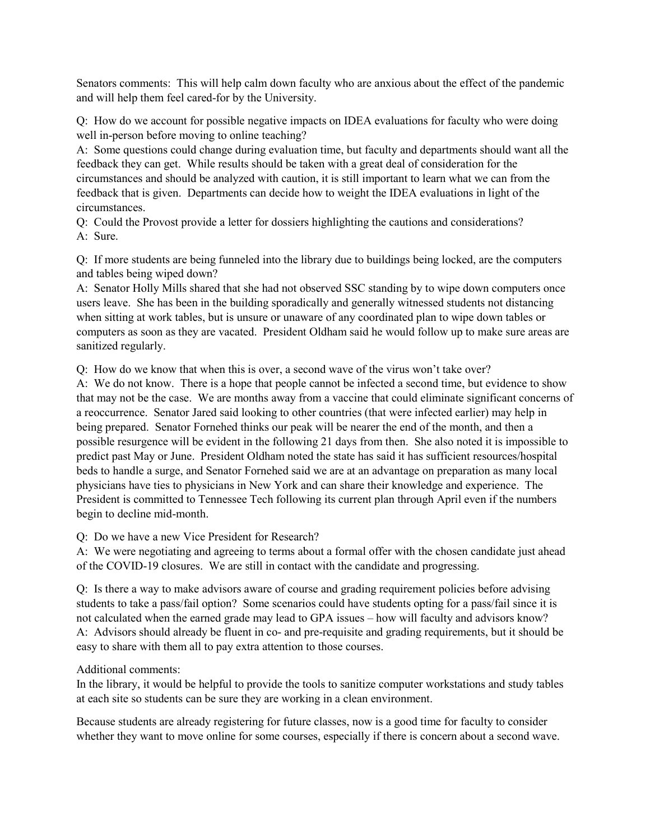Senators comments: This will help calm down faculty who are anxious about the effect of the pandemic and will help them feel cared-for by the University.

Q: How do we account for possible negative impacts on IDEA evaluations for faculty who were doing well in-person before moving to online teaching?

A: Some questions could change during evaluation time, but faculty and departments should want all the feedback they can get. While results should be taken with a great deal of consideration for the circumstances and should be analyzed with caution, it is still important to learn what we can from the feedback that is given. Departments can decide how to weight the IDEA evaluations in light of the circumstances.

Q: Could the Provost provide a letter for dossiers highlighting the cautions and considerations? A: Sure.

Q: If more students are being funneled into the library due to buildings being locked, are the computers and tables being wiped down?

A: Senator Holly Mills shared that she had not observed SSC standing by to wipe down computers once users leave. She has been in the building sporadically and generally witnessed students not distancing when sitting at work tables, but is unsure or unaware of any coordinated plan to wipe down tables or computers as soon as they are vacated. President Oldham said he would follow up to make sure areas are sanitized regularly.

Q: How do we know that when this is over, a second wave of the virus won't take over?

A: We do not know. There is a hope that people cannot be infected a second time, but evidence to show that may not be the case. We are months away from a vaccine that could eliminate significant concerns of a reoccurrence. Senator Jared said looking to other countries (that were infected earlier) may help in being prepared. Senator Fornehed thinks our peak will be nearer the end of the month, and then a possible resurgence will be evident in the following 21 days from then. She also noted it is impossible to predict past May or June. President Oldham noted the state has said it has sufficient resources/hospital beds to handle a surge, and Senator Fornehed said we are at an advantage on preparation as many local physicians have ties to physicians in New York and can share their knowledge and experience. The President is committed to Tennessee Tech following its current plan through April even if the numbers begin to decline mid-month.

Q: Do we have a new Vice President for Research?

A: We were negotiating and agreeing to terms about a formal offer with the chosen candidate just ahead of the COVID-19 closures. We are still in contact with the candidate and progressing.

Q: Is there a way to make advisors aware of course and grading requirement policies before advising students to take a pass/fail option? Some scenarios could have students opting for a pass/fail since it is not calculated when the earned grade may lead to GPA issues – how will faculty and advisors know? A: Advisors should already be fluent in co- and pre-requisite and grading requirements, but it should be easy to share with them all to pay extra attention to those courses.

# Additional comments:

In the library, it would be helpful to provide the tools to sanitize computer workstations and study tables at each site so students can be sure they are working in a clean environment.

Because students are already registering for future classes, now is a good time for faculty to consider whether they want to move online for some courses, especially if there is concern about a second wave.